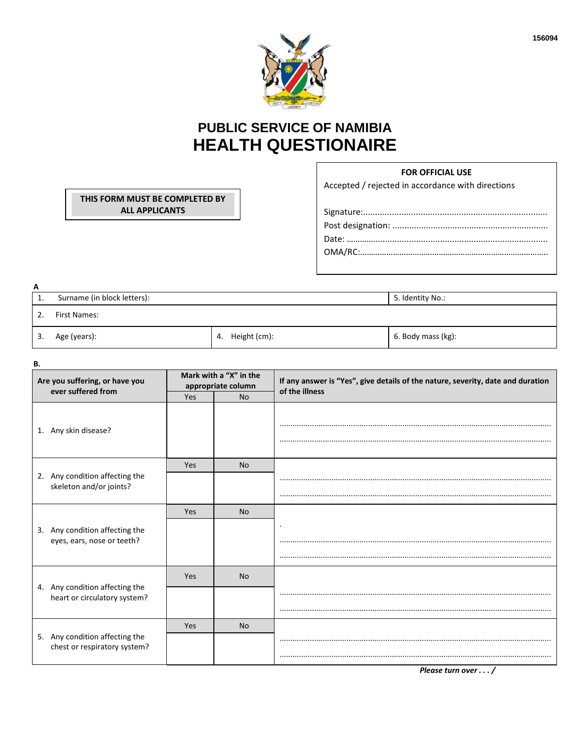

## **PUBLIC SERVICE OF NAMIBIA HEALTH QUESTIONAIRE**

## **FOR OFFICIAL USE**

Accepted / rejected in accordance with directions

. . . . . . . . .

| A  |                             |                  |  |  |  |  |
|----|-----------------------------|------------------|--|--|--|--|
| T. | Surname (in block letters): | 5. Identity No.: |  |  |  |  |
| 2. | First Names:                |                  |  |  |  |  |

 $3.$ Age (years):

В.

THIS FORM MUST BE COMPLETED BY **ALL APPLICANTS** 

4. Height (cm):

6. Body mass (kg):

| Are you suffering, or have you<br>ever suffered from           | Mark with a "X" in the<br>appropriate column |           | If any answer is "Yes", give details of the nature, severity, date and duration<br>of the illness |  |
|----------------------------------------------------------------|----------------------------------------------|-----------|---------------------------------------------------------------------------------------------------|--|
|                                                                | Yes                                          | <b>No</b> |                                                                                                   |  |
| 1. Any skin disease?                                           |                                              |           |                                                                                                   |  |
|                                                                | Yes                                          | <b>No</b> |                                                                                                   |  |
| 2. Any condition affecting the<br>skeleton and/or joints?      |                                              |           |                                                                                                   |  |
|                                                                |                                              |           |                                                                                                   |  |
|                                                                | Yes                                          | <b>No</b> |                                                                                                   |  |
| 3. Any condition affecting the                                 |                                              |           |                                                                                                   |  |
| eyes, ears, nose or teeth?                                     |                                              |           |                                                                                                   |  |
|                                                                |                                              |           |                                                                                                   |  |
|                                                                | Yes                                          | <b>No</b> |                                                                                                   |  |
| 4. Any condition affecting the<br>heart or circulatory system? |                                              |           |                                                                                                   |  |
|                                                                |                                              |           |                                                                                                   |  |
|                                                                | Yes                                          | <b>No</b> |                                                                                                   |  |
| 5. Any condition affecting the<br>chest or respiratory system? |                                              |           |                                                                                                   |  |
|                                                                |                                              |           |                                                                                                   |  |

Please turn over . . . /